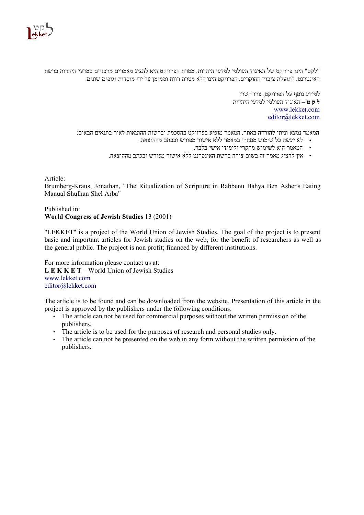

"לקט" הינו פרויקט של האיגוד העולמי למדעי היהדות. מטרת הפרויקט היא להציג מאמרים מרכזיים במדעי היהדות ברשת האינטרנט, לתועלת ציבור החוקרים. הפרויקט הינו ללא מטרת רווח וממומן על ידי מוסדות וגופים שונים.

> למידע נוסף על הפרויקט, צרו קשר: **ל ק ט** – האיגוד העולמי למדעי היהדות www.lekket.com editor@lekket.com

המאמר נמצא וניתן להורדה באתר. המאמר מופיע בפרויקט בהסכמת וברשות ההוצאות לאור בתנאים הבאים:

- לא יעשה כל שימוש מסחרי במאמר ללא אישור מפורש ובכתב מההוצאה.
	- המאמר הוא לשימוש מחקרי ולימודי אישי בלבד.
- אין להציג מאמר זה בשום צורה ברשת האינטרנט ללא אישור מפורש ובכתב מההוצאה.

## Article:

Brumberg-Kraus, Jonathan, "The Ritualization of Scripture in Rabbenu Bahya Ben Asher's Eating Manual Shulhan Shel Arba"

## Published in: **World Congress of Jewish Studies** 13 (2001)

"LEKKET" is a project of the World Union of Jewish Studies. The goal of the project is to present basic and important articles for Jewish studies on the web, for the benefit of researchers as well as the general public. The project is non profit; financed by different institutions.

For more information please contact us at: **L E K K E T –** World Union of Jewish Studies www.lekket.com editor@lekket.com

The article is to be found and can be downloaded from the website. Presentation of this article in the project is approved by the publishers under the following conditions:

- The article can not be used for commercial purposes without the written permission of the publishers.
- The article is to be used for the purposes of research and personal studies only.
- The article can not be presented on the web in any form without the written permission of the publishers.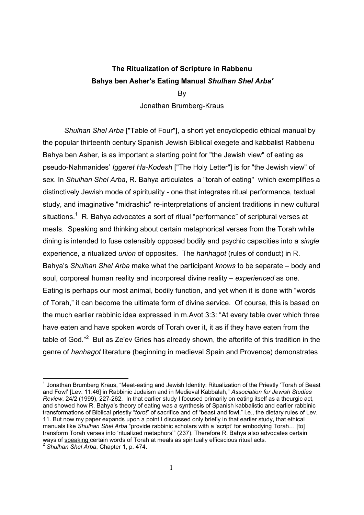## **The Ritualization of Scripture in Rabbenu Bahya ben Asher's Eating Manual** *Shulhan Shel Arba'*

By

Jonathan Brumberg-Kraus

*Shulhan Shel Arba* ["Table of Four"], a short yet encyclopedic ethical manual by the popular thirteenth century Spanish Jewish Biblical exegete and kabbalist Rabbenu Bahya ben Asher, is as important a starting point for "the Jewish view" of eating as pseudo-Nahmanidesí *Iggeret Ha-Kodesh* ["The Holy Letter"] is for "the Jewish view" of sex. In *Shulhan Shel Arba*, R. Bahya articulates a "torah of eating" which exemplifies a distinctively Jewish mode of spirituality - one that integrates ritual performance, textual study, and imaginative "midrashic" re-interpretations of ancient traditions in new cultural situations.<sup>1</sup> R. Bahya advocates a sort of ritual "performance" of scriptural verses at meals. Speaking and thinking about certain metaphorical verses from the Torah while dining is intended to fuse ostensibly opposed bodily and psychic capacities into a *single* experience, a ritualized *union* of opposites. The *hanhagot* (rules of conduct) in R. Bahya's *Shulhan Shel Arba* make what the participant *knows* to be separate – body and soul, corporeal human reality and incorporeal divine reality – *experienced* as one. Eating is perhaps our most animal, bodily function, and yet when it is done with "words" of Torah,î it can become the ultimate form of divine service. Of course, this is based on the much earlier rabbinic idea expressed in m.Avot 3:3: "At every table over which three have eaten and have spoken words of Torah over it, it as if they have eaten from the table of God."<sup>2</sup> But as Ze'ev Gries has already shown, the afterlife of this tradition in the genre of *hanhagot* literature (beginning in medieval Spain and Provence) demonstrates

 $1$  Jonathan Brumberg Kraus, "Meat-eating and Jewish Identity: Ritualization of the Priestly 'Torah of Beast and Fowlí [Lev. 11:46] in Rabbinic Judaism and in Medieval Kabbalah,î *Association for Jewish Studies Review*, 24/2 (1999), 227-262. In that earlier study I focused primarily on eating itself as a theurgic act, and showed how R. Bahya's theory of eating was a synthesis of Spanish kabbalistic and earlier rabbinic transformations of Biblical priestly "*torot*" of sacrifice and of "beast and fowl," i.e., the dietary rules of Lev. 11. But now my paper expands upon a point I discussed only briefly in that earlier study, that ethical manuals like *Shulhan Shel Arba* "provide rabbinic scholars with a 'script' for embodying Torah... [to] transform Torah verses into 'ritualized metaphors'" (237). Therefore R. Bahya also advocates certain ways of <u>speaking certain words of Torah at meals</u> as spiritually efficacious ritual acts.<sup>2</sup> *Shulhan Shel Arba*, Chapter 1, p. 474.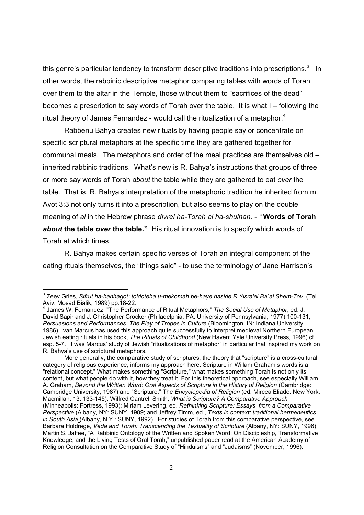this genre's particular tendency to transform descriptive traditions into prescriptions.<sup>3</sup> In other words, the rabbinic descriptive metaphor comparing tables with words of Torah over them to the altar in the Temple, those without them to "sacrifices of the dead" becomes a prescription to say words of Torah over the table. It is what  $I -$  following the ritual theory of James Fernandez - would call the ritualization of a metaphor.<sup>4</sup>

Rabbenu Bahya creates new rituals by having people say or concentrate on specific scriptural metaphors at the specific time they are gathered together for communal meals. The metaphors and order of the meal practices are themselves old  $$ inherited rabbinic traditions. What's new is R. Bahya's instructions that groups of three or more say words of Torah *about* the table while they are gathered to eat *over* the table. That is, R. Bahyaís interpretation of the metaphoric tradition he inherited from m. Avot 3:3 not only turns it into a prescription, but also seems to play on the double meaning of *al* in the Hebrew phrase *divrei ha-Torah al ha-shulhan. - ì* **Words of Torah about the table over the table.**" His ritual innovation is to specify which words of Torah at which times.

 R. Bahya makes certain specific verses of Torah an integral component of the eating rituals themselves, the "things said" - to use the terminology of Jane Harrison's

 $\overline{a}$ 

<sup>3</sup> Zeev Gries, *Sifrut ha-hanhagot: toldoteha u-mekomah be-haye haside R.Yisra'el Ba`al Shem-Tov* (Tel Aviv: Mosad Bialik, 1989) pp.18-22. 4

<sup>&</sup>lt;sup>4</sup> James W. Fernandez, "The Performance of Ritual Metaphors," The Social Use of Metaphor, ed. J. David Sapir and J. Christopher Crocker (Philadelphia, PA: University of Pennsylvania, 1977) 100-131; *Persuasions and Performances: The Play of Tropes in Culture* (Bloomington, IN: Indiana University, 1986). Ivan Marcus has used this approach quite successfully to interpret medieval Northern European Jewish eating rituals in his book, *The Rituals of Childhood* (New Haven: Yale University Press, 1996) cf. esp. 5-7. It was Marcus' study of Jewish "ritualizations of metaphor" in particular that inspired my work on R. Bahyaís use of scriptural metaphors.

More generally, the comparative study of scriptures, the theory that "scripture" is a cross-cultural category of religious experience, informs my approach here. Scripture in Willam Graham's words is a "relational concept." What makes something "Scripture," what makes something Torah is not only its content, but what people do with it, how they treat it. For this theoretical approach, see especially William A. Graham, *Beyond the Written Word: Oral Aspects of Scripture in the History of Religion* (Cambridge: Cambridge University, 1987) and "Scripture," The *Encyclopedia of Religion* (ed. Mircea Eliade. New York: Macmillan, 13: 133-145); Wilfred Cantrell Smith, *What is Scripture? A Comparative Approach* (Minneapolis: Fortress, 1993); Miriam Levering, ed. *Rethinking Scripture: Essays from a Comparative Perspective* (Albany, NY: SUNY, 1989; and Jeffrey Timm, ed., *Texts in context: traditional hermeneutics in South Asia* (Albany, N.Y.: SUNY, 1992). For studies of Torah from this comparative perspective, see Barbara Holdrege, *Veda and Torah: Transcending the Textuality of Scripture* (Albany, NY: SUNY, 1996); Martin S. Jaffee, "A Rabbinic Ontology of the Written and Spoken Word: On Discipleship, Transformative Knowledge, and the Living Tests of Oral Torah," unpublished paper read at the American Academy of Religion Consultation on the Comparative Study of "Hinduisms" and "Judaisms" (November, 1996).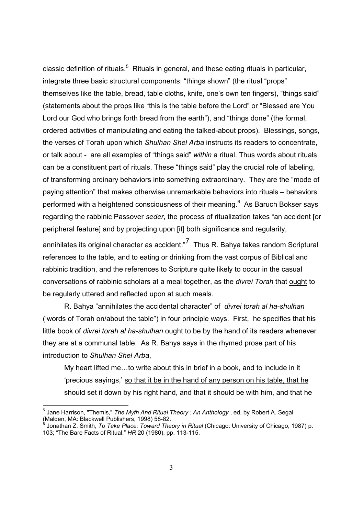classic definition of rituals.<sup>5</sup> Rituals in general, and these eating rituals in particular, integrate three basic structural components: "things shown" (the ritual "props" themselves like the table, bread, table cloths, knife, one's own ten fingers), "things said" (statements about the props like "this is the table before the Lord" or "Blessed are You Lord our God who brings forth bread from the earth"), and "things done" (the formal, ordered activities of manipulating and eating the talked-about props). Blessings, songs, the verses of Torah upon which *Shulhan Shel Arba* instructs its readers to concentrate, or talk about - are all examples of "things said" *within* a ritual. Thus words about rituals can be a constituent part of rituals. These "things said" play the crucial role of labeling, of transforming ordinary behaviors into something extraordinary. They are the "mode of paying attention" that makes otherwise unremarkable behaviors into rituals – behaviors performed with a heightened consciousness of their meaning.<sup>6</sup> As Baruch Bokser says regarding the rabbinic Passover seder, the process of ritualization takes "an accident [or peripheral feature] and by projecting upon [it] both significance and regularity,

annihilates its original character as accident. $\overline{7}$  Thus R. Bahya takes random Scriptural references to the table, and to eating or drinking from the vast corpus of Biblical and rabbinic tradition, and the references to Scripture quite likely to occur in the casual conversations of rabbinic scholars at a meal together, as the *divrei Torah* that **ought** to be regularly uttered and reflected upon at such meals.

R. Bahya "annihilates the accidental character" of *divrei torah al ha-shulhan* ('words of Torah on/about the table") in four principle ways. First, he specifies that his little book of *divrei torah al ha-shulhan* ought to be by the hand of its readers whenever they are at a communal table. As R. Bahya says in the rhymed prose part of his introduction to *Shulhan Shel Arba*,

My heart lifted me...to write about this in brief in a book, and to include in it 'precious sayings,' so that it be in the hand of any person on his table, that he should set it down by his right hand, and that it should be with him, and that he

<sup>5</sup> Jane Harrison, "Themis," *The Myth And Ritual Theory : An Anthology* , ed. by Robert A. Segal (Malden, MA: Blackwell Publishers, 1998) 58-82.

<sup>6</sup> Jonathan Z. Smith, *To Take Place: Toward Theory in Ritual* (Chicago: University of Chicago, 1987) p. 103; "The Bare Facts of Ritual," HR 20 (1980), pp. 113-115.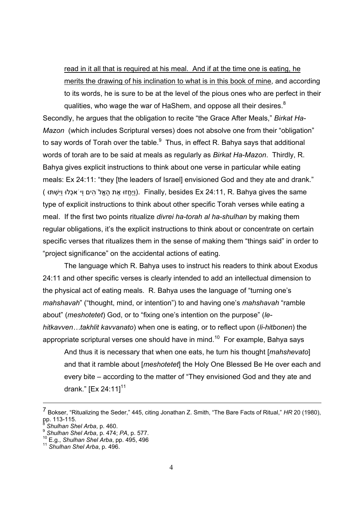read in it all that is required at his meal. And if at the time one is eating, he merits the drawing of his inclination to what is in this book of mine, and according to its words, he is sure to be at the level of the pious ones who are perfect in their qualities, who wage the war of HaShem, and oppose all their desires.<sup>8</sup>

Secondly, he argues that the obligation to recite "the Grace After Meals," Birkat Ha-*Mazon* (which includes Scriptural verses) does not absolve one from their "obligation" to say words of Torah over the table. $^9$  Thus, in effect R. Bahya says that additional words of torah are to be said at meals as regularly as *Birkat Ha-Mazon*. Thirdly, R. Bahya gives explicit instructions to think about one verse in particular while eating meals: Ex 24:11: "they [the leaders of Israel] envisioned God and they ate and drank." (ויחזוּ את האל הים וי אכלו וישתו). Finally, besides Ex 24:11, R. Bahya gives the same type of explicit instructions to think about other specific Torah verses while eating a meal. If the first two points ritualize *divrei ha-torah al ha-shulhan* by making them regular obligations, it's the explicit instructions to think about or concentrate on certain specific verses that ritualizes them in the sense of making them "things said" in order to "project significance" on the accidental actions of eating.

 The language which R. Bahya uses to instruct his readers to think about Exodus 24:11 and other specific verses is clearly intended to add an intellectual dimension to the physical act of eating meals. R. Bahya uses the language of "turning one's *mahshavah*" ("thought, mind, or intention") to and having one's *mahshavah* "ramble about" (*meshotetet*) God, or to "fixing one's intention on the purpose" (*lehitkavven...takhlit kavvanato*) when one is eating, or to reflect upon (*li-hitbonen*) the appropriate scriptural verses one should have in mind.<sup>10</sup> For example, Bahya says

And thus it is necessary that when one eats, he turn his thought [*mahshevato*] and that it ramble about [*meshotetet*] the Holy One Blessed Be He over each and every bite – according to the matter of "They envisioned God and they ate and drank."  $[Ex 24:11]^{11}$ 

 $\overline{a}$ 

<sup>&</sup>lt;sup>7</sup> Bokser, "Ritualizing the Seder," 445, citing Jonathan Z. Smith, "The Bare Facts of Ritual," *HR* 20 (1980), pp. 113-115.<br><sup>8</sup> Shulhan Shel Arba, p. 460.

<sup>8</sup> *Shulhan Shel Arba*, p. 1551.<br><sup>9</sup> *Shulhan Shel Arba*, p. 474; *PA*, p. 577.<br><sup>10</sup> E.g., *Shulhan Shel Arba*, p. 496.<br><sup>11</sup> *Shulhan Shel Arba*, p. 496.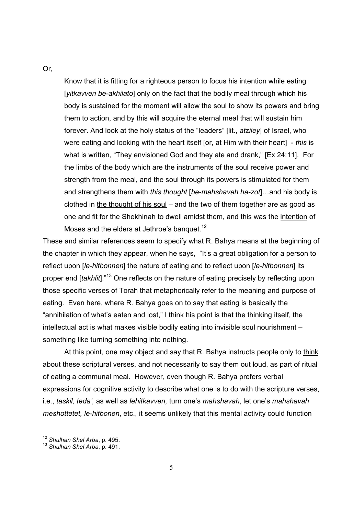Or,

Know that it is fitting for a righteous person to focus his intention while eating [*yitkavven be-akhilato*] only on the fact that the bodily meal through which his body is sustained for the moment will allow the soul to show its powers and bring them to action, and by this will acquire the eternal meal that will sustain him forever. And look at the holy status of the "leaders" [lit., *atziley*] of Israel, who were eating and looking with the heart itself [or, at Him with their heart] - *this* is what is written, "They envisioned God and they ate and drank," [Ex 24:11]. For the limbs of the body which are the instruments of the soul receive power and strength from the meal, and the soul through its powers is stimulated for them and strengthens them with *this thought* [*be-mahshavah ha-zot*]...and his body is clothed in the thought of his soul  $-$  and the two of them together are as good as one and fit for the Shekhinah to dwell amidst them, and this was the intention of Moses and the elders at Jethroe's banquet.<sup>12</sup>

These and similar references seem to specify what R. Bahya means at the beginning of the chapter in which they appear, when he says, "It's a great obligation for a person to reflect upon [*le-hitbonnen*] the nature of eating and to reflect upon [*le-hitbonnen*] its proper end *[takhlit*].<sup>n13</sup> One reflects on the nature of eating precisely by reflecting upon those specific verses of Torah that metaphorically refer to the meaning and purpose of eating. Even here, where R. Bahya goes on to say that eating is basically the "annihilation of what's eaten and lost," I think his point is that the thinking itself, the intellectual act is what makes visible bodily eating into invisible soul nourishment  $$ something like turning something into nothing.

 At this point, one may object and say that R. Bahya instructs people only to think about these scriptural verses, and not necessarily to say them out loud, as part of ritual of eating a communal meal. However, even though R. Bahya prefers verbal expressions for cognitive activity to describe what one is to do with the scripture verses, i.e., *taskil, tedaí,* as well as *lehitkavven,* turn oneís *mahshavah*, let oneís *mahshavah meshottetet, le-hitbonen*, etc., it seems unlikely that this mental activity could function

<sup>-</sup><sup>12</sup> Shulhan Shel Arba, p. 495.<br><sup>13</sup> Shulhan Shel Arba, p. 491.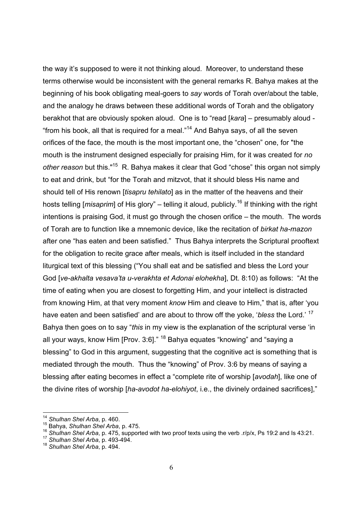the way it's supposed to were it not thinking aloud. Moreover, to understand these terms otherwise would be inconsistent with the general remarks R. Bahya makes at the beginning of his book obligating meal-goers to *say* words of Torah over/about the table, and the analogy he draws between these additional words of Torah and the obligatory berakhot that are obviously spoken aloud. One is to "read [*kara*] – presumably aloud -"from his book, all that is required for a meal."<sup>14</sup> And Bahya says, of all the seven orifices of the face, the mouth is the most important one, the "chosen" one, for "the mouth is the instrument designed especially for praising Him, for it was created for *no other reason* but this."<sup>15</sup> R. Bahya makes it clear that God "chose" this organ not simply to eat and drink, but "for the Torah and mitzvot, that it should bless His name and should tell of His renown [*tisapru tehilato*] as in the matter of the heavens and their hosts telling [*misaprim*] of His glory" – telling it aloud, publicly.<sup>16</sup> If thinking with the right intentions is praising God, it must go through the chosen orifice  $-$  the mouth. The words of Torah are to function like a mnemonic device, like the recitation of *birkat ha-mazon* after one "has eaten and been satisfied." Thus Bahya interprets the Scriptural prooftext for the obligation to recite grace after meals, which is itself included in the standard liturgical text of this blessing ("You shall eat and be satisfied and bless the Lord your God [ve-akhalta vesava'ta u-verakhta et Adonai elohekha], Dt. 8:10) as follows: "At the time of eating when you are closest to forgetting Him, and your intellect is distracted from knowing Him, at that very moment *know* Him and cleave to Him," that is, after 'you have eaten and been satisfied' and are about to throw off the yoke, *'bless* the Lord.'<sup>17</sup> Bahya then goes on to say "*this* in my view is the explanation of the scriptural verse 'in all your ways, know Him [Prov. 3:6]."  $18$  Bahya equates "knowing" and "saying a blessing" to God in this argument, suggesting that the cognitive act is something that is mediated through the mouth. Thus the "knowing" of Prov. 3:6 by means of saying a blessing after eating becomes in effect a "complete rite of worship [*avodah*], like one of the divine rites of worship [ha-avodot ha-elohiyot, i.e., the divinely ordained sacrifices],"

<sup>&</sup>lt;sup>14</sup> Shulhan Shel Arba, p. 460.<br><sup>15</sup> Bahya, *Shulhan Shel Arba*, p. 475.<br><sup>16</sup> Shulhan Shel Arba, p. 475, supported with two proof texts using the verb .r/p/x, Ps 19:2 and Is 43:21.<br><sup>17</sup> Shulhan Shel Arba, p. 493-494.<br><sup>18</sup>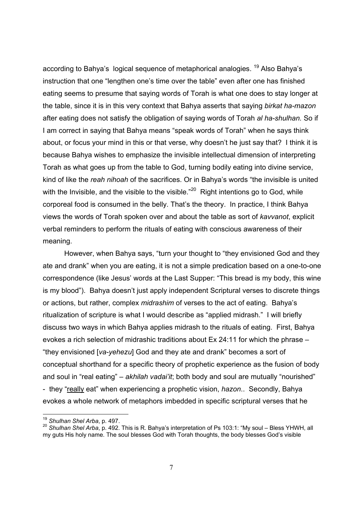according to Bahya's logical sequence of metaphorical analogies. <sup>19</sup> Also Bahya's instruction that one "lengthen one's time over the table" even after one has finished eating seems to presume that saying words of Torah is what one does to stay longer at the table, since it is in this very context that Bahya asserts that saying *birkat ha-mazon* after eating does not satisfy the obligation of saying words of Torah *al ha-shulhan.* So if I am correct in saying that Bahya means "speak words of Torah" when he says think about, or focus your mind in this or that verse, why doesn't he just say that? I think it is because Bahya wishes to emphasize the invisible intellectual dimension of interpreting Torah as what goes up from the table to God, turning bodily eating into divine service, kind of like the *reah nihoah* of the sacrifices. Or in Bahya's words "the invisible is united with the Invisible, and the visible to the visible.<sup> $20$ </sup> Right intentions go to God, while corporeal food is consumed in the belly. Thatís the theory. In practice, I think Bahya views the words of Torah spoken over and about the table as sort of *kavvanot*, explicit verbal reminders to perform the rituals of eating with conscious awareness of their meaning.

However, when Bahya says, "turn your thought to "they envisioned God and they ate and drankî when you are eating, it is not a simple predication based on a one-to-one correspondence (like Jesus' words at the Last Supper: "This bread is my body, this wine is my blood"). Bahya doesn't just apply independent Scriptural verses to discrete things or actions, but rather, complex *midrashim* of verses to the act of eating. Bahyaís ritualization of scripture is what I would describe as "applied midrash." I will briefly discuss two ways in which Bahya applies midrash to the rituals of eating. First, Bahya evokes a rich selection of midrashic traditions about Ex 24:11 for which the phrase  $$ ìthey envisioned [*va-yehezu*] God and they ate and drankî becomes a sort of conceptual shorthand for a specific theory of prophetic experience as the fusion of body and soul in "real eating" – akhilah vadai'it; both body and soul are mutually "nourished" - they "really eat" when experiencing a prophetic vision, *hazon*.. Secondly, Bahya evokes a whole network of metaphors imbedded in specific scriptural verses that he

<sup>&</sup>lt;sup>19</sup> Shulhan Shel Arba, p. 497.<br><sup>20</sup> Shulhan Shel Arba, p. 492. This is R. Bahya's interpretation of Ps 103:1: "My soul – Bless YHWH, all my guts His holy name. The soul blesses God with Torah thoughts, the body blesses God's visible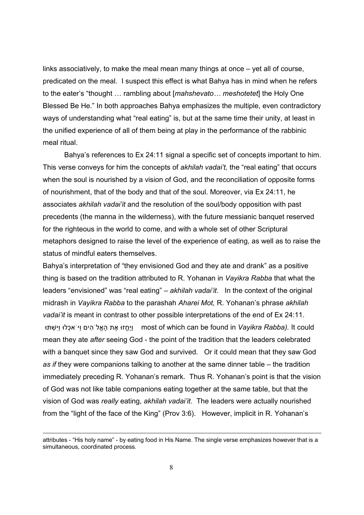links associatively, to make the meal mean many things at once  $-$  yet all of course, predicated on the meal. I suspect this effect is what Bahya has in mind when he refers to the eater's "thought ... rambling about [*mahshevato... meshotetet*] the Holy One Blessed Be He.<sup>n</sup> In both approaches Bahya emphasizes the multiple, even contradictory ways of understanding what "real eating" is, but at the same time their unity, at least in the unified experience of all of them being at play in the performance of the rabbinic meal ritual.

 Bahyaís references to Ex 24:11 signal a specific set of concepts important to him. This verse conveys for him the concepts of *akhilah vadai't*, the "real eating" that occurs when the soul is nourished by a vision of God, and the reconciliation of opposite forms of nourishment, that of the body and that of the soul. Moreover, via Ex 24:11, he associates *akhilah vadaiíit* and the resolution of the soul/body opposition with past precedents (the manna in the wilderness), with the future messianic banquet reserved for the righteous in the world to come, and with a whole set of other Scriptural metaphors designed to raise the level of the experience of eating, as well as to raise the status of mindful eaters themselves.

Bahya's interpretation of "they envisioned God and they ate and drank" as a positive thing is based on the tradition attributed to R. Yohanan in *Vayikra Rabba* that what the leaders "envisioned" was "real eating" – akhilah vadai'it. In the context of the original midrash in *Vayikra Rabba* to the parashah *Aharei Mot,* R. Yohananís phrase *akhilah vadai'it* is meant in contrast to other possible interpretations of the end of Ex 24:11. וּיֵחֱזוּ אֶת הַאֱל<sup>'</sup> הים ויּ אכָלוּ ויִּשְׁתּוּ most of which can be found in *Vayikra Rabba*). It could mean they ate *after* seeing God - the point of the tradition that the leaders celebrated with a banquet since they saw God and survived. Or it could mean that they saw God *as if* they were companions talking to another at the same dinner table – the tradition immediately preceding R. Yohanan's remark. Thus R. Yohanan's point is that the vision of God was not like table companions eating together at the same table, but that the vision of God was *really* eating, *akhilah vadaiíit*. The leaders were actually nourished from the "light of the face of the King" (Prov 3:6). However, implicit in R. Yohanan's

attributes - "His holy name" - by eating food in His Name. The single verse emphasizes however that is a simultaneous, coordinated process.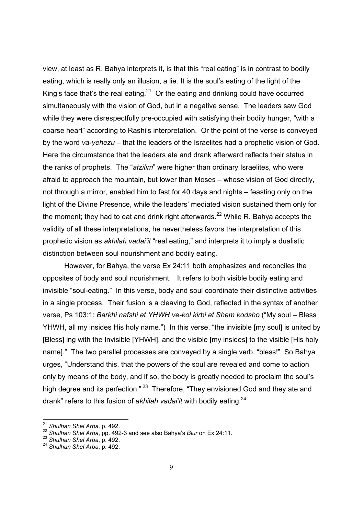view, at least as R. Bahya interprets it, is that this "real eating" is in contrast to bodily eating, which is really only an illusion, a lie. It is the soul's eating of the light of the King's face that's the real eating.<sup>21</sup> Or the eating and drinking could have occurred simultaneously with the vision of God, but in a negative sense. The leaders saw God while they were disrespectfully pre-occupied with satisfying their bodily hunger, "with a coarse heart" according to Rashi's interpretation. Or the point of the verse is conveyed by the word *va-yehezu* – that the leaders of the Israelites had a prophetic vision of God. Here the circumstance that the leaders ate and drank afterward reflects their status in the ranks of prophets. The "*atzilim*" were higher than ordinary Israelites, who were afraid to approach the mountain, but lower than Moses – whose vision of God directly, not through a mirror, enabled him to fast for 40 days and nights – feasting only on the light of the Divine Presence, while the leaders' mediated vision sustained them only for the moment; they had to eat and drink right afterwards.<sup>22</sup> While R. Bahya accepts the validity of all these interpretations, he nevertheless favors the interpretation of this prophetic vision as *akhilah vadai'it* "real eating," and interprets it to imply a dualistic distinction between soul nourishment and bodily eating.

 However, for Bahya, the verse Ex 24:11 both emphasizes and reconciles the opposites of body and soul nourishment. It refers to both visible bodily eating and invisible "soul-eating." In this verse, body and soul coordinate their distinctive activities in a single process. Their fusion is a cleaving to God, reflected in the syntax of another verse, Ps 103:1: *Barkhi nafshi et YHWH ve-kol kirbi et Shem kodsho* ("My soul – Bless YHWH, all my insides His holy name.") In this verse, "the invisible [my soul] is united by [Bless] ing with the Invisible [YHWH], and the visible [my insides] to the visible [His holy name]." The two parallel processes are conveyed by a single verb, "bless!" So Bahya urges, "Understand this, that the powers of the soul are revealed and come to action only by means of the body, and if so, the body is greatly needed to proclaim the soul's high degree and its perfection.<sup>" 23</sup> Therefore, "They envisioned God and they ate and drank<sup>"</sup> refers to this fusion of *akhilah vadai'it* with bodily eating.<sup>24</sup>

<sup>&</sup>lt;sup>21</sup> Shulhan Shel Arba. p. 492.

<sup>21</sup> *Shulhan Shel Arba*. p. 492. 22 *Shulhan Shel Arba*, pp. 492-3 and see also Bahyaís *Biur* on Ex 24:11.

<sup>23</sup> *Shulhan Shel Arba*, p. 492. 24 *Shulhan Shel Arba*, p. 492.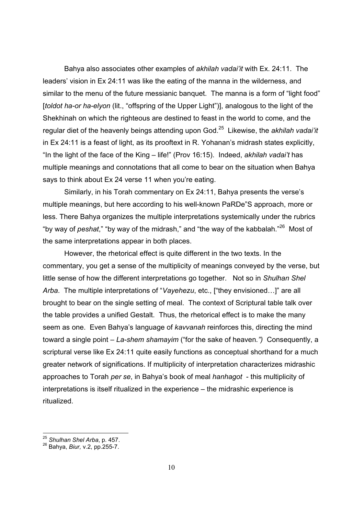Bahya also associates other examples of *akhilah vadaiíit* with Ex. 24:11. The leaders' vision in Ex 24:11 was like the eating of the manna in the wilderness, and similar to the menu of the future messianic banquet. The manna is a form of "light food" [*toldot ha-or ha-elyon* (lit., "offspring of the Upper Light")], analogous to the light of the Shekhinah on which the righteous are destined to feast in the world to come, and the regular diet of the heavenly beings attending upon God.25 Likewise, the *akhilah vadaiíit* in Ex 24:11 is a feast of light, as its prooftext in R. Yohanan's midrash states explicitly, "In the light of the face of the King – life!" (Prov 16:15). Indeed, *akhilah vadai't* has multiple meanings and connotations that all come to bear on the situation when Bahya says to think about Ex 24 verse 11 when you're eating.

Similarly, in his Torah commentary on Ex 24:11, Bahya presents the verse's multiple meanings, but here according to his well-known PaRDe<sup>"</sup>S approach, more or less. There Bahya organizes the multiple interpretations systemically under the rubrics "by way of *peshat*," "by way of the midrash," and "the way of the kabbalah."<sup>26</sup> Most of the same interpretations appear in both places.

However, the rhetorical effect is quite different in the two texts. In the commentary, you get a sense of the multiplicity of meanings conveyed by the verse, but little sense of how the different interpretations go together. Not so in *Shulhan Shel Arba*. The multiple interpretations of "*Vayehezu*, etc., ["they envisioned...]" are all brought to bear on the single setting of meal. The context of Scriptural table talk over the table provides a unified Gestalt. Thus, the rhetorical effect is to make the many seem as one. Even Bahyaís language of *kavvanah* reinforces this, directing the mind toward a single point – La-shem shamayim ("for the sake of heaven.") Consequently, a scriptural verse like Ex 24:11 quite easily functions as conceptual shorthand for a much greater network of significations. If multiplicity of interpretation characterizes midrashic approaches to Torah *per se*, in Bahyaís book of meal *hanhagot* - this multiplicity of  $interpretations$  is itself ritualized in the experience  $-$  the midrashic experience is ritualized.

<sup>&</sup>lt;sup>25</sup> S*hulhan Shel Arba*, p. 457.<br><sup>26</sup> Bahya, *Biur, v*.2, pp.255-7.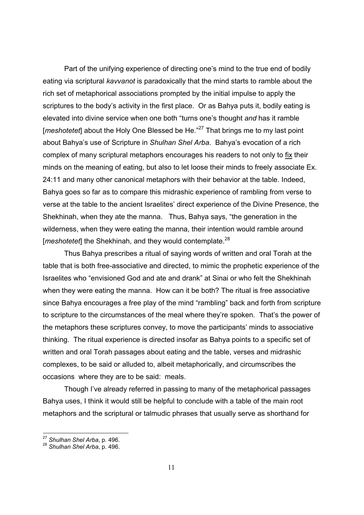Part of the unifying experience of directing one's mind to the true end of bodily eating via scriptural *kavvanot* is paradoxically that the mind starts to ramble about the rich set of metaphorical associations prompted by the initial impulse to apply the scriptures to the body's activity in the first place. Or as Bahya puts it, bodily eating is elevated into divine service when one both "turns one's thought *and* has it ramble [*meshotetet*] about the Holy One Blessed be He.<sup>27</sup> That brings me to my last point about Bahyaís use of Scripture in *Shulhan Shel Arba*. Bahyaís evocation of a rich complex of many scriptural metaphors encourages his readers to not only to fix their minds on the meaning of eating, but also to let loose their minds to freely associate Ex. 24:11 and many other canonical metaphors with their behavior at the table. Indeed, Bahya goes so far as to compare this midrashic experience of rambling from verse to verse at the table to the ancient Israelitesí direct experience of the Divine Presence, the Shekhinah, when they ate the manna. Thus, Bahya says, "the generation in the wilderness, when they were eating the manna, their intention would ramble around [*meshotetet*] the Shekhinah, and they would contemplate.<sup>28</sup>

Thus Bahya prescribes a ritual of saying words of written and oral Torah at the table that is both free-associative and directed, to mimic the prophetic experience of the Israelites who "envisioned God and ate and drank" at Sinai or who felt the Shekhinah when they were eating the manna. How can it be both? The ritual is free associative since Bahya encourages a free play of the mind "rambling" back and forth from scripture to scripture to the circumstances of the meal where they're spoken. That's the power of the metaphors these scriptures convey, to move the participants' minds to associative thinking. The ritual experience is directed insofar as Bahya points to a specific set of written and oral Torah passages about eating and the table, verses and midrashic complexes, to be said or alluded to, albeit metaphorically, and circumscribes the occasions where they are to be said: meals.

Though I've already referred in passing to many of the metaphorical passages Bahya uses, I think it would still be helpful to conclude with a table of the main root metaphors and the scriptural or talmudic phrases that usually serve as shorthand for

<sup>&</sup>lt;sup>27</sup> Shulhan Shel Arba, p. 496.<br><sup>28</sup> Shulhan Shel Arba, p. 496.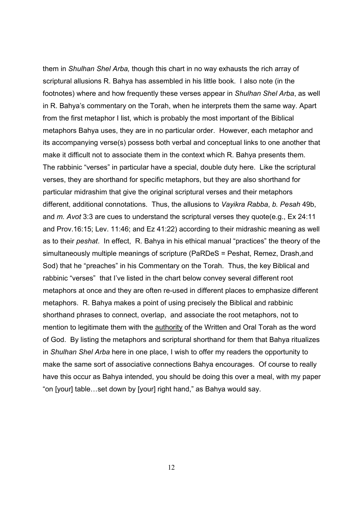them in *Shulhan Shel Arba,* though this chart in no way exhausts the rich array of scriptural allusions R. Bahya has assembled in his little book.I also note (in the footnotes) where and how frequently these verses appear in *Shulhan Shel Arba*, as well in R. Bahyaís commentary on the Torah, when he interprets them the same way. Apart from the first metaphor I list, which is probably the most important of the Biblical metaphors Bahya uses, they are in no particular order. However, each metaphor and its accompanying verse(s) possess both verbal and conceptual links to one another that make it difficult not to associate them in the context which R. Bahya presents them. The rabbinic "verses" in particular have a special, double duty here. Like the scriptural verses, they are shorthand for specific metaphors, but they are also shorthand for particular midrashim that give the original scriptural verses and their metaphors different, additional connotations. Thus, the allusions to *Vayikra Rabba*, *b. Pesah* 49b, and *m. Avot* 3:3 are cues to understand the scriptural verses they quote(e.g., Ex 24:11 and Prov.16:15; Lev. 11:46; and Ez 41:22) according to their midrashic meaning as well as to their *peshat*. In effect, R. Bahya in his ethical manual "practices" the theory of the simultaneously multiple meanings of scripture (PaRDeS = Peshat, Remez, Drash,and Sod) that he "preaches" in his Commentary on the Torah. Thus, the key Biblical and rabbinic "verses" that I've listed in the chart below convey several different root metaphors at once and they are often re-used in different places to emphasize different metaphors. R. Bahya makes a point of using precisely the Biblical and rabbinic shorthand phrases to connect, overlap, and associate the root metaphors, not to mention to legitimate them with the authority of the Written and Oral Torah as the word of God. By listing the metaphors and scriptural shorthand for them that Bahya ritualizes in *Shulhan Shel Arba* here in one place, I wish to offer my readers the opportunity to make the same sort of associative connections Bahya encourages. Of course to really have this occur as Bahya intended, you should be doing this over a meal, with my paper "on [your] table...set down by [your] right hand," as Bahya would say.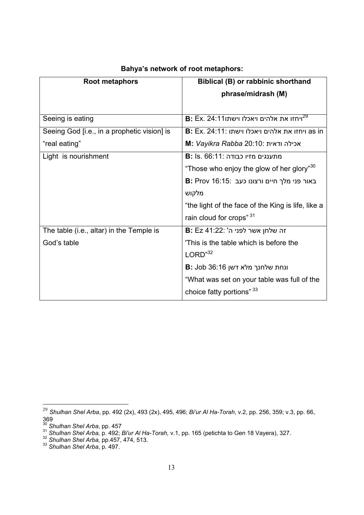| <b>Root metaphors</b>                       | Biblical (B) or rabbinic shorthand                      |
|---------------------------------------------|---------------------------------------------------------|
|                                             | phrase/midrash (M)                                      |
|                                             |                                                         |
| Seeing is eating                            | $\bf B$ : Ex. 24:11ויחזו את אלהים ויאכלו וישתו $^{29}$  |
| Seeing God [i.e., in a prophetic vision] is | <b>B</b> : Ex. 24:11: ויחזו את אלהים ויאכלו וישתו as in |
| "real eating"                               | <b>M:</b> Vayikra Rabba 20:10: אכילה ודאית              |
| Light is nourishment                        | B: Is. 66:11: מתענגים מזיו כבודה                        |
|                                             | "Those who enjoy the glow of her glory" <sup>30</sup>   |
|                                             | <b>B:</b> Prov 16:15: באור פני מלך חיים ורצונו כעב      |
|                                             | מלקוש                                                   |
|                                             | "the light of the face of the King is life, like a      |
|                                             | rain cloud for crops" 31                                |
| The table (i.e., altar) in the Temple is    | B: Ez 41:22: ה שלחן אשר לפני ה'                         |
| God's table                                 | This is the table which is before the                   |
|                                             | LORD <sup>32</sup>                                      |
|                                             | <b>B:</b> Job 36:16 ונחת שלחנך מלא דשן                  |
|                                             | "What was set on your table was full of the             |
|                                             | choice fatty portions" 33                               |

## **Bahyaís network of root metaphors:**

<sup>29</sup> *Shulhan Shel Arba*, pp. 492 (2x), 493 (2x), 495, 496; *Biíur Al Ha-Torah*, v.2, pp. 256, 359; v.3, pp. 66, 369

<sup>&</sup>lt;sup>30</sup> Shulhan Shel Arba, pp. 457<br><sup>31</sup> Shulhan Shel Arba, p. 492; Bi'ur Al Ha-Torah, v.1, pp. 165 (petichta to Gen 18 Vayera), 327.<br><sup>32</sup> Shulhan Shel Arba, pp.457, 474, 513.<br><sup>33</sup> Shulhan Shel Arba, p. 497.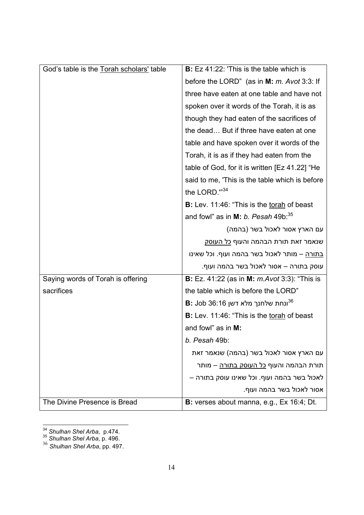| God's table is the Torah scholars' table | <b>B:</b> Ez 41:22: 'This is the table which is                   |
|------------------------------------------|-------------------------------------------------------------------|
|                                          | before the LORD" (as in M: m. Avot 3:3: If                        |
|                                          | three have eaten at one table and have not                        |
|                                          | spoken over it words of the Torah, it is as                       |
|                                          | though they had eaten of the sacrifices of                        |
|                                          | the dead But if three have eaten at one                           |
|                                          | table and have spoken over it words of the                        |
|                                          | Torah, it is as if they had eaten from the                        |
|                                          | table of God, for it is written [Ez 41.22] "He                    |
|                                          | said to me, 'This is the table which is before                    |
|                                          | the LORD. $"^{34}$                                                |
|                                          | B: Lev. 11:46: "This is the torah of beast                        |
|                                          | and fowl" as in M: b. Pesah $49b:35$                              |
|                                          | עם הארץ אסור לאכול בשר (בהמה)                                     |
|                                          | שנאמר זאת תורת הבהמה והעוף <u>כל העוסק</u>                        |
|                                          | <u>בתורה</u> – מותר לאכול בשר בהמה ועוף. וכל שאינו                |
|                                          | עוסק בתורה – אסור לאכול בשר בהמה ועוף.                            |
| Saying words of Torah is offering        | <b>B:</b> Ez. 41:22 (as in <b>M:</b> <i>m.Avot</i> 3:3): "This is |
| sacrifices                               | the table which is before the LORD"                               |
|                                          | B: Job 36:16 ונחת שלחנך מלא דשן                                   |
|                                          | B: Lev. 11:46: "This is the torah of beast                        |
|                                          | and fowl" as in M:                                                |
|                                          | b. Pesah 49b:                                                     |
|                                          | עם הארץ אסור לאכול בשר (בהמה) שנאמר זאת                           |
|                                          | תורת הבהמה והעוף <u>כל העוסק בתורה</u> – מותר                     |
|                                          | לאכול בשר בהמה ועוף. וכל שאינו עוסק בתורה –                       |
|                                          | אסור לאכול בשר בהמה ועוף.                                         |
| The Divine Presence is Bread             | <b>B:</b> verses about manna, e.g., Ex 16:4; Dt.                  |

<sup>-</sup><sup>34</sup> Shulhan Shel Arba, p.474.<br><sup>35</sup> Shulhan Shel Arba, p. 496.

<sup>36</sup> *Shulhan Shel Arba*, pp. 497.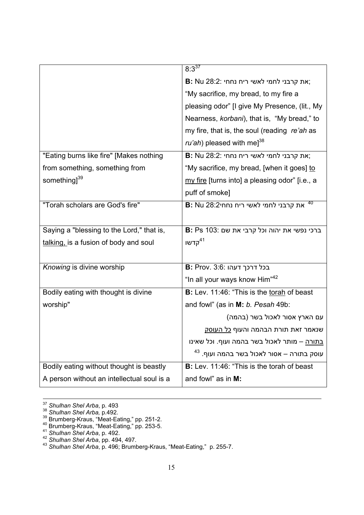|                                            | $8:3^{37}$                                           |
|--------------------------------------------|------------------------------------------------------|
|                                            | <b>B:</b> Nu 28:2: את קרבני לחמי לאשי ריח נחחי;      |
|                                            | "My sacrifice, my bread, to my fire a                |
|                                            | pleasing odor" [I give My Presence, (lit., My        |
|                                            | Nearness, korbani), that is, "My bread," to          |
|                                            | my fire, that is, the soul (reading re'ah as         |
|                                            | <i>ru'ah</i> ) pleased with me] <sup>38</sup>        |
| "Eating burns like fire" [Makes nothing    | <b>B:</b> Nu 28:2: את קרבני לחמי לאשי ריח נחחי;      |
| from something, something from             | "My sacrifice, my bread, [when it goes] to           |
| something] <sup>39</sup>                   | my fire [turns into] a pleasing odor" [i.e., a       |
|                                            | puff of smoke]                                       |
| "Torah scholars are God's fire"            | -40<br>B: Nu 28:2ס את קרבני לחמי לאשי ריח נחחי       |
|                                            |                                                      |
| Saying a "blessing to the Lord," that is,  | B: Ps 103: ברכי נפשי את יהוה וכל קרבי את שם          |
| talking, is a fusion of body and soul      | <sup>41</sup> קדשו                                   |
|                                            |                                                      |
| Knowing is divine worship                  | <b>B: Prov. 3:6: בכל דרכך דעהו</b>                   |
|                                            | "In all your ways know Him" <sup>42</sup>            |
| Bodily eating with thought is divine       | B: Lev. 11:46: "This is the torah of beast           |
| worship"                                   | and fowl" (as in M: b. Pesah 49b:                    |
|                                            | עם הארץ אסור לאכול בשר (בהמה)                        |
|                                            | שנאמר זאת תורת הבהמה והעוף <u>כל העוסק</u>           |
|                                            | <u>בתורה</u> – מותר לאכול בשר בהמה ועוף. וכל שאינו   |
|                                            | עוסק בתורה – אסור לאכול בשר בהמה ועוף. <sup>43</sup> |
| Bodily eating without thought is beastly   | B: Lev. 11:46: "This is the torah of beast           |
| A person without an intellectual soul is a | and fowl" as in M:                                   |

<sup>&</sup>lt;sup>37</sup> Shulhan Shel Arba, p. 493<br>
<sup>38</sup> Shulhan Shel Arba, p. 492.<br>
<sup>39</sup> Brumberg-Kraus, "Meat-Eating," pp. 251-2.<br>
<sup>40</sup> Brumberg-Kraus, "Meat-Eating," pp. 253-5.<br>
<sup>41</sup> Shulhan Shel Arba, p. 494, 497.<br>
<sup>42</sup> Shulhan Shel Arba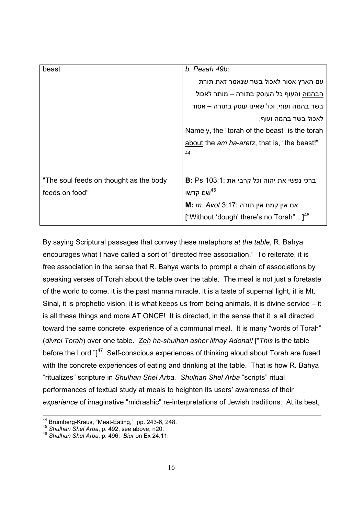| beast                                  | b. Pesah 49b:                                        |
|----------------------------------------|------------------------------------------------------|
|                                        | עם הארץ אסור לאכול בשר שנאמר זאת תורת                |
|                                        | <u>הבהמה</u> והעוף כל העוסק בתורה – מותר לאכול       |
|                                        | בשר בהמה ועוף. וכל שאינו עוסק בתורה – אסור           |
|                                        | לאכול בשר בהמה ועוף.                                 |
|                                        | Namely, the "torah of the beast" is the torah        |
|                                        | about the <i>am ha-aretz</i> , that is, "the beast!" |
|                                        | 44                                                   |
|                                        |                                                      |
| "The soul feeds on thought as the body | B: Ps 103:1: ברכי נפשי את יהוה וכל קרבי את           |
| feeds on food"                         | שם קדשו $^{45}$                                      |
|                                        | M: <i>m. Avot</i> 3:17: אם אין קמח אין תורה          |
|                                        | ["Without 'dough' there's no Torah"] <sup>46</sup>   |

By saying Scriptural passages that convey these metaphors *at the table*, R. Bahya encourages what I have called a sort of "directed free association." To reiterate, it is free association in the sense that R. Bahya wants to prompt a chain of associations by speaking verses of Torah about the table over the table. The meal is not just a foretaste of the world to come, it is the past manna miracle, it is a taste of supernal light, it is Mt. Sinai, it is prophetic vision, it is what keeps us from being animals, it is divine service  $-$  it is all these things and more AT ONCE! It is directed, in the sense that it is all directed toward the same concrete experience of a communal meal. It is many "words of Torah" (*divrei Torah*) over one table. *Zeh ha-shulhan asher lifnay Adonai!* [ì*This* is the table before the Lord." $147$  Self-conscious experiences of thinking aloud about Torah are fused with the concrete experiences of eating and drinking at the table. That is how R. Bahya "ritualizes" scripture in *Shulhan Shel Arba. Shulhan Shel Arba* "scripts" ritual performances of textual study at meals to heighten its users' awareness of their *experience* of imaginative "midrashic" re-interpretations of Jewish traditions. At its best,

<sup>&</sup>lt;sup>44</sup> Brumberg-Kraus, "Meat-Eating," pp. 243-6, 248.<br><sup>45</sup> *Shulhan Shel Arba*, p. 492, see above, n20.<br><sup>46</sup> *Shulhan Shel Arba*, p. 496; *Biur* on Ex 24:11.